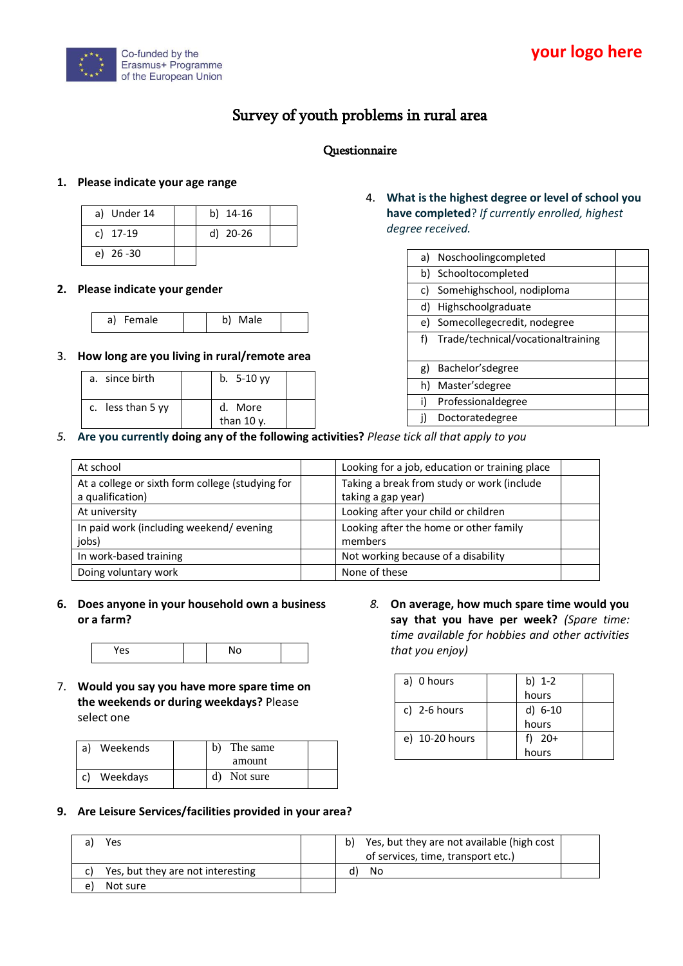

# Survey of youth problems in rural area

# Questionnaire

## **1. Please indicate your age range**

| a) Under 14  | b) 14-16 |  |
|--------------|----------|--|
| c) 17-19     | d) 20-26 |  |
| e) $26 - 30$ |          |  |

#### **2. Please indicate your gender**

|  | Female<br>a) | Male<br>b) |  |
|--|--------------|------------|--|
|--|--------------|------------|--|

#### 3. **How long are you living in rural/remote area**

| a. since birth    | $b. 5-10$ yy             |  |
|-------------------|--------------------------|--|
| c. less than 5 yy | d. More<br>than $10 y$ . |  |

## 4. **What is the highest degree or level of school you have completed**? *If currently enrolled, highest degree received.*

| a) | Noschoolingcompleted               |
|----|------------------------------------|
|    | b) Schooltocompleted               |
| C) | Somehighschool, nodiploma          |
| d) | Highschoolgraduate                 |
| e) | Somecollegecredit, nodegree        |
| f) | Trade/technical/vocationaltraining |
|    |                                    |
| g) | Bachelor's degree                  |
| h) | Master's degree                    |
| i) | Professionaldegree                 |
|    | Doctoratedegree                    |

*5.* **Are you currently doing any of the following activities?** *Please tick all that apply to you* 

| At school                                        | Looking for a job, education or training place |
|--------------------------------------------------|------------------------------------------------|
| At a college or sixth form college (studying for | Taking a break from study or work (include     |
| a qualification)                                 | taking a gap year)                             |
| At university                                    | Looking after your child or children           |
| In paid work (including weekend/evening          | Looking after the home or other family         |
| jobs)                                            | members                                        |
| In work-based training                           | Not working because of a disability            |
| Doing voluntary work                             | None of these                                  |

**6. Does anyone in your household own a business or a farm?**

| . <i>.</i> |  |  |
|------------|--|--|
|            |  |  |

7. **Would you say you have more spare time on the weekends or during weekdays?** Please select one

| a)<br>Weekends | b)<br>The same |  |
|----------------|----------------|--|
|                | amount         |  |
| Weekdays<br>C) | Not sure<br>d) |  |

*8.* **On average, how much spare time would you say that you have per week?** *(Spare time: time available for hobbies and other activities that you enjoy)*

| a) 0 hours     | b) $1-2$  |  |
|----------------|-----------|--|
|                | hours     |  |
| c) $2-6$ hours | $d) 6-10$ |  |
|                | hours     |  |
| e) 10-20 hours | f) $20+$  |  |
|                | hours     |  |

## **9. Are Leisure Services/facilities provided in your area?**

|    | Yes                               | b) | Yes, but they are not available (high cost<br>of services, time, transport etc.) |  |
|----|-----------------------------------|----|----------------------------------------------------------------------------------|--|
|    | Yes, but they are not interesting |    | No                                                                               |  |
| e. | Not sure                          |    |                                                                                  |  |
|    |                                   |    |                                                                                  |  |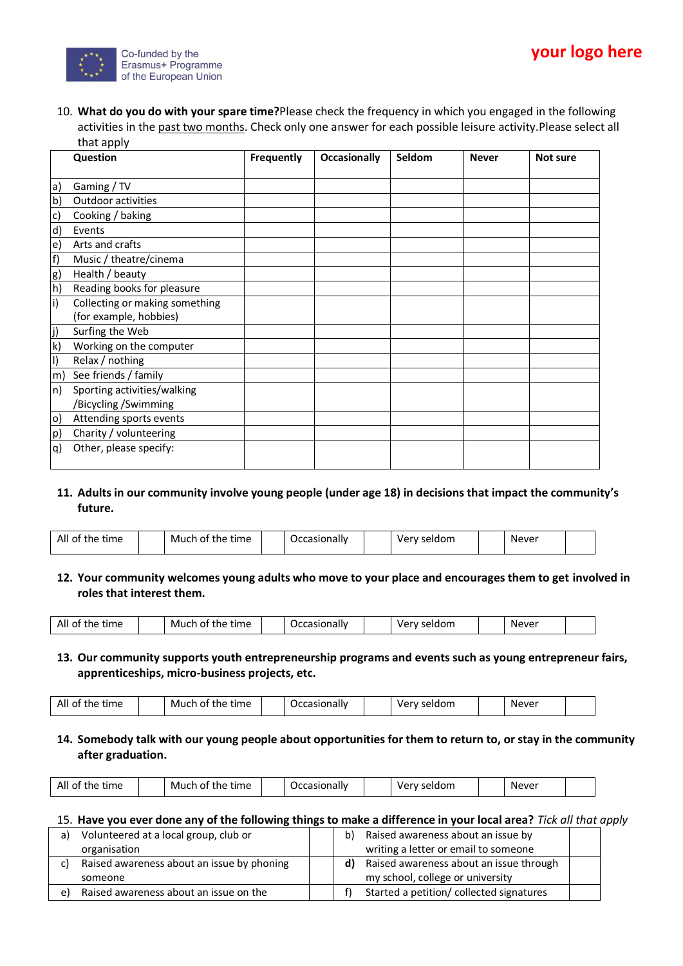

10. **What do you do with your spare time?**Please check the frequency in which you engaged in the following activities in the past two months. Check only one answer for each possible leisure activity.Please select all that apply

|              | Question                       | Frequently | <b>Occasionally</b> | Seldom | <b>Never</b> | Not sure |
|--------------|--------------------------------|------------|---------------------|--------|--------------|----------|
|              |                                |            |                     |        |              |          |
| a)           | Gaming / TV                    |            |                     |        |              |          |
| b)           | Outdoor activities             |            |                     |        |              |          |
| $\mathsf{c}$ | Cooking / baking               |            |                     |        |              |          |
| d)           | Events                         |            |                     |        |              |          |
| e)           | Arts and crafts                |            |                     |        |              |          |
| f)           | Music / theatre/cinema         |            |                     |        |              |          |
| g)           | Health / beauty                |            |                     |        |              |          |
| h)           | Reading books for pleasure     |            |                     |        |              |          |
| $\mathsf{i}$ | Collecting or making something |            |                     |        |              |          |
|              | (for example, hobbies)         |            |                     |        |              |          |
| j)           | Surfing the Web                |            |                     |        |              |          |
| k)           | Working on the computer        |            |                     |        |              |          |
| $\vert$      | Relax / nothing                |            |                     |        |              |          |
| m)           | See friends / family           |            |                     |        |              |          |
| ln)          | Sporting activities/walking    |            |                     |        |              |          |
|              | /Bicycling / Swimming          |            |                     |        |              |          |
| $\circ)$     | Attending sports events        |            |                     |        |              |          |
| p)           | Charity / volunteering         |            |                     |        |              |          |
| q)           | Other, please specify:         |            |                     |        |              |          |
|              |                                |            |                     |        |              |          |

**11. Adults in our community involve young people (under age 18) in decisions that impact the community's future.**

| All<br>Much<br>ot.<br>. )ccasiona<br>time<br>the<br>time<br>Very seldom<br>the<br>sionally.<br>O1 | Never |
|---------------------------------------------------------------------------------------------------|-------|
|---------------------------------------------------------------------------------------------------|-------|

**12. Your community welcomes young adults who move to your place and encourages them to get involved in roles that interest them.**

|  | All<br>. of<br>time<br>the |  | Much of<br>the<br>time |  | Occasionally |  | Very seldom |  | Never |  |  |
|--|----------------------------|--|------------------------|--|--------------|--|-------------|--|-------|--|--|
|--|----------------------------|--|------------------------|--|--------------|--|-------------|--|-------|--|--|

**13. Our community supports youth entrepreneurship programs and events such as young entrepreneur fairs, apprenticeships, micro-business projects, etc.**

| time<br>.<br>.<br>.<br><b>Never</b><br>.<br>$-1$<br>^+<br>. unaliv.<br>M<br>the<br>ΟI<br>™uon.<br>AI<br>™<br>une<br>v.<br>., |
|------------------------------------------------------------------------------------------------------------------------------|
|------------------------------------------------------------------------------------------------------------------------------|

**14. Somebody talk with our young people about opportunities for them to return to, or stay in the community after graduation.**

| time<br>$\mathbf{A}$<br>seldom<br>------<br>. Never<br>0t<br>the.<br>ver:<br>time<br>Much<br>0Ť<br>JC)<br>LI It<br>casiuriair<br>AII |
|--------------------------------------------------------------------------------------------------------------------------------------|
|--------------------------------------------------------------------------------------------------------------------------------------|

#### 15. **Have you ever done any of the following things to make a difference in your local area?** *Tick all that apply*

| a) | Volunteered at a local group, club or      | b) | Raised awareness about an issue by       |  |
|----|--------------------------------------------|----|------------------------------------------|--|
|    | organisation                               |    | writing a letter or email to someone     |  |
|    | Raised awareness about an issue by phoning | d) | Raised awareness about an issue through  |  |
|    | someone                                    |    | my school, college or university         |  |
| e) | Raised awareness about an issue on the     |    | Started a petition/ collected signatures |  |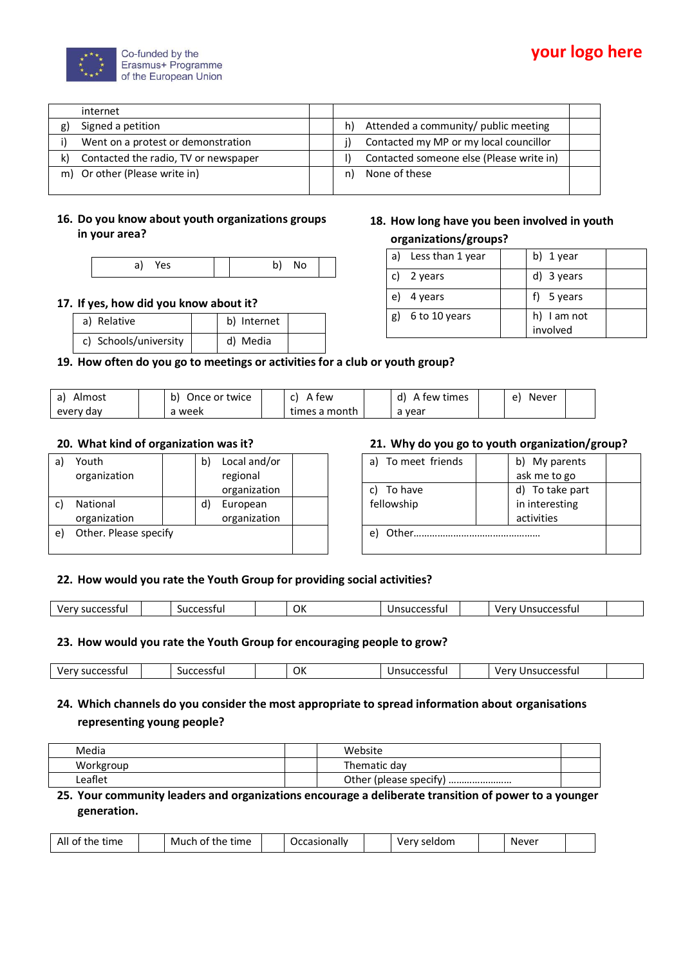

|    | internet                             |                                            |  |
|----|--------------------------------------|--------------------------------------------|--|
| g) | Signed a petition                    | Attended a community/ public meeting<br>h) |  |
|    | Went on a protest or demonstration   | Contacted my MP or my local councillor     |  |
| k) | Contacted the radio, TV or newspaper | Contacted someone else (Please write in)   |  |
|    | m) Or other (Please write in)        | None of these<br>n)                        |  |
|    |                                      |                                            |  |

# **16. Do you know about youth organizations groups in your area?**

## **17. If yes, how did you know about it?**

| a) Relative           | b) Internet |  |
|-----------------------|-------------|--|
| c) Schools/university | d) Media    |  |

## **19. How often do you go to meetings or activities for a club or youth group?**

| Almost<br>a)   | b)<br>Once or twice. | few           | tew times<br><sub>n</sub> | Never<br>$\mathbf{a}$ |  |
|----------------|----------------------|---------------|---------------------------|-----------------------|--|
| every<br>' dav | week                 | times a month | vear                      |                       |  |

## **20. What kind of organization was it?**

| a  | Youth                 | b | Local and/or |  |
|----|-----------------------|---|--------------|--|
|    | organization          |   | regional     |  |
|    |                       |   | organization |  |
|    | National              |   | European     |  |
|    | organization          |   | organization |  |
| e) | Other. Please specify |   |              |  |
|    |                       |   |              |  |

## **21. Why do you go to youth organization/group?**

| a) To meet friends | b) My parents   |  |
|--------------------|-----------------|--|
|                    | ask me to go    |  |
| c) To have         | d) To take part |  |
| fellowship         | in interesting  |  |
|                    | activities      |  |
| Other.             |                 |  |
|                    |                 |  |

## **22. How would you rate the Youth Group for providing social activities?**

| ver<br>nr<br>.sstul<br>ינור<br>∼ | uccesstul<br>ouc | OK | ccessful:<br>SU 0<br>. . | .<br><b>MA</b><br>v<br>וטוככ |  |
|----------------------------------|------------------|----|--------------------------|------------------------------|--|

# **23. How would you rate the Youth Group for encouraging people to grow?**

| -------<br>าเม<br>ווטוככ | uccesstu.<br>SUC. | OK | 100000000011<br>ILLE55141<br>. | isuccessful<br>uar<br>. In |  |
|--------------------------|-------------------|----|--------------------------------|----------------------------|--|

# **24. Which channels do you consider the most appropriate to spread information about organisations representing young people?**

| Media     | Website                     |  |
|-----------|-----------------------------|--|
| Workgroup | Thematic day                |  |
| ∟eaflet   | Other (please specify)<br>. |  |

**25. Your community leaders and organizations encourage a deliberate transition of power to a younger generation.**

| time<br>Much of<br>time<br>---<br>O1<br>the<br>ne.<br>All |  | ccasionally |  | ·Idom<br>√e∙ |  | Never |  |
|-----------------------------------------------------------|--|-------------|--|--------------|--|-------|--|
|-----------------------------------------------------------|--|-------------|--|--------------|--|-------|--|

# **18. How long have you been involved in youth organizations/groups?**

| a) | Less than 1 year | b) 1 year               |  |
|----|------------------|-------------------------|--|
|    | c) 2 years       | d) 3 years              |  |
| e) | 4 years          | f) $5 \text{ years}$    |  |
| g) | 6 to 10 years    | h) I am not<br>involved |  |